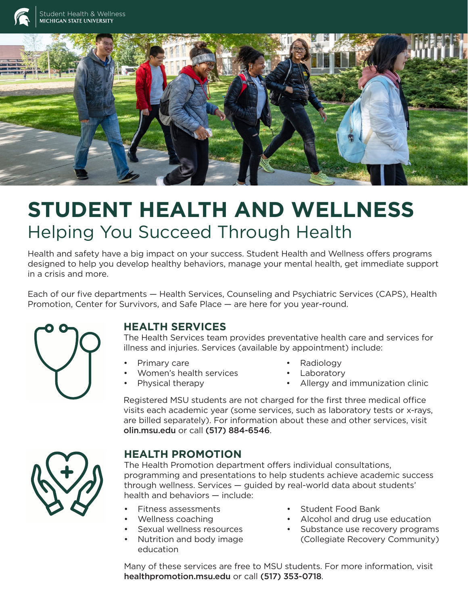

# **STUDENT HEALTH AND WELLNESS** Helping You Succeed Through Health

Health and safety have a big impact on your success. Student Health and Wellness offers programs designed to help you develop healthy behaviors, manage your mental health, get immediate support in a crisis and more.

Each of our five departments — Health Services, Counseling and Psychiatric Services (CAPS), Health Promotion, Center for Survivors, and Safe Place — are here for you year-round.



### **HEALTH SERVICES**

The Health Services team provides preventative health care and services for illness and injuries. Services (available by appointment) include:

- Primary care
- Women's health services
- Physical therapy
- Radiology
- **Laboratory**
- Allergy and immunization clinic

Registered MSU students are not charged for the first three medical office visits each academic year (some services, such as laboratory tests or x-rays, are billed separately). For information about these and other services, visit olin.msu.edu or call (517) 884-6546.



### **HEALTH PROMOTION**

The Health Promotion department offers individual consultations, programming and presentations to help students achieve academic success through wellness. Services — guided by real-world data about students' health and behaviors — include:

- Fitness assessments
- Wellness coaching
- Sexual wellness resources
- Nutrition and body image education
- Student Food Bank
- Alcohol and drug use education
- Substance use recovery programs (Collegiate Recovery Community)

Many of these services are free to MSU students. For more information, visit healthpromotion.msu.edu or call (517) 353-0718.